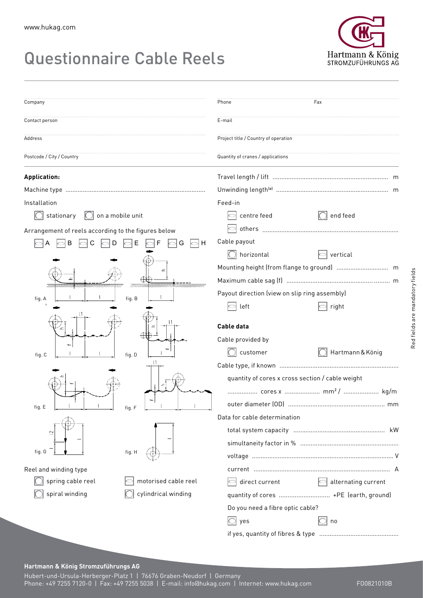## Questionnaire Cable Reels



| Company                                             |                      | Phone                                            | Fax                 |
|-----------------------------------------------------|----------------------|--------------------------------------------------|---------------------|
|                                                     |                      |                                                  |                     |
| Contact person                                      |                      | E-mail                                           |                     |
| Address                                             |                      | Project title / Country of operation             |                     |
| Postcode / City / Country                           |                      | Quantity of cranes / applications                |                     |
| Application:                                        |                      |                                                  |                     |
|                                                     |                      |                                                  |                     |
| Installation                                        |                      | Feed-in                                          |                     |
| stationary<br>$\Box$ on a mobile unit               |                      | centre feed                                      | end feed            |
| Arrangement of reels according to the figures below |                      |                                                  |                     |
|                                                     | Ε<br>H               | Cable payout                                     |                     |
|                                                     |                      | $\Box$ horizontal                                | vertical            |
|                                                     |                      |                                                  |                     |
|                                                     |                      |                                                  |                     |
|                                                     | ummumm<br>7777777777 | Payout direction (view on slip ring assembly)    |                     |
| fig. A                                              | fig. B               | left                                             | right               |
|                                                     |                      | Cable data                                       |                     |
|                                                     |                      | Cable provided by                                |                     |
| fig. C                                              | fig. D               | customer                                         | Hartmann & König    |
|                                                     |                      |                                                  |                     |
|                                                     |                      | quantity of cores x cross section / cable weight |                     |
|                                                     |                      | cores x  mm <sup>2</sup> /  kg/m                 |                     |
| fig. E                                              | fig. F               |                                                  |                     |
|                                                     | fig. H               | Data for cable determination                     |                     |
| $\simeq$                                            |                      |                                                  |                     |
| fig. G                                              |                      |                                                  |                     |
|                                                     |                      |                                                  |                     |
| Reel and winding type                               |                      |                                                  |                     |
| spring cable reel                                   | motorised cable reel | direct current                                   | alternating current |
| cylindrical winding<br>spiral winding               |                      | quantity of cores  +PE (earth, ground)           |                     |
|                                                     |                      | Do you need a fibre optic cable?                 |                     |
|                                                     |                      | yes                                              | no                  |
|                                                     |                      |                                                  |                     |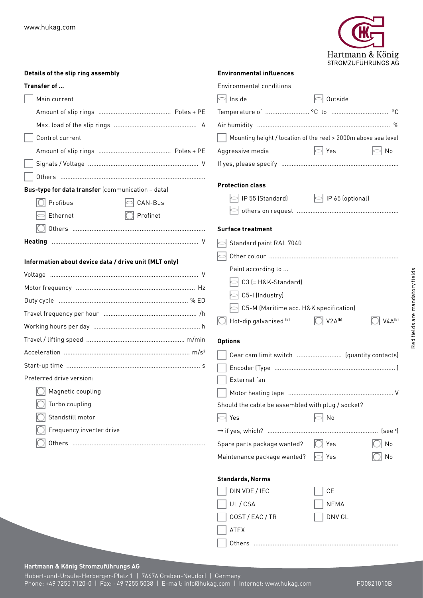

| Details of the slip ring assembly                     | <b>Environmental influences</b>                   |                                                                |
|-------------------------------------------------------|---------------------------------------------------|----------------------------------------------------------------|
| Transfer of                                           | <b>Environmental conditions</b>                   |                                                                |
| Main current                                          | Inside                                            | Outside                                                        |
|                                                       |                                                   |                                                                |
|                                                       |                                                   |                                                                |
| Control current                                       |                                                   | Mounting height / location of the reel > 2000m above sea level |
|                                                       | Aggressive media                                  | $\sim$ Yes<br>No                                               |
|                                                       |                                                   |                                                                |
|                                                       |                                                   |                                                                |
| Bus-type for data transfer (communication + data)     | <b>Protection class</b>                           |                                                                |
| Profibus<br>CAN-Bus                                   | IP 55 (Standard)                                  | $\left \bigcirc\right $ IP 65 (optional)                       |
| Profinet<br>Ethernet                                  |                                                   |                                                                |
|                                                       | <b>Surface treatment</b>                          |                                                                |
|                                                       | Standard paint RAL 7040                           |                                                                |
|                                                       |                                                   |                                                                |
| Information about device data / drive unit (MLT only) | Paint according to                                |                                                                |
|                                                       | C3 (= H&K-Standard)                               |                                                                |
|                                                       | C5-I (Industry)                                   |                                                                |
|                                                       | C5-M (Maritime acc. H&K specification)            |                                                                |
|                                                       |                                                   |                                                                |
|                                                       | Hot-dip galvanised (b)                            | $\bigcirc$ V2A <sup>(b)</sup><br>$V4A^{[b]}$                   |
|                                                       | <b>Options</b>                                    |                                                                |
|                                                       |                                                   |                                                                |
|                                                       |                                                   |                                                                |
| Preferred drive version:                              | External fan                                      |                                                                |
| Magnetic coupling                                     |                                                   |                                                                |
| Turbo coupling                                        | Should the cable be assembled with plug / socket? |                                                                |
| Standstill motor                                      | Yes<br>o                                          | $\vert$ No                                                     |
| Frequency inverter drive                              |                                                   |                                                                |
|                                                       | Spare parts package wanted?                       | $\bigcirc$ Yes<br>No                                           |
|                                                       | Maintenance package wanted?                       | ⊃  Yes<br>No                                                   |
|                                                       | <b>Standards, Norms</b>                           |                                                                |
|                                                       | DIN VDE / IEC                                     | CE                                                             |
|                                                       | UL/CSA                                            | <b>NEMA</b>                                                    |

GOST / EAC / TR DNV GL

Others ....................................................................................

ATEX